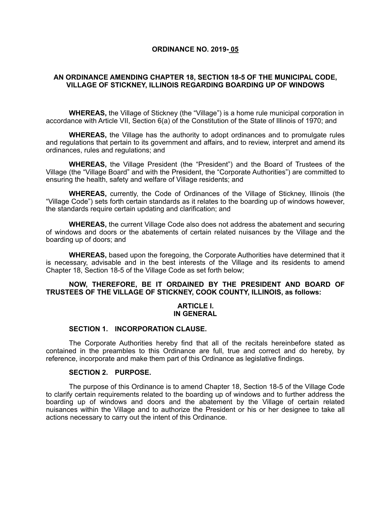#### **ORDINANCE NO. 2019- 05**

## **AN ORDINANCE AMENDING CHAPTER 18, SECTION 18-5 OF THE MUNICIPAL CODE, VILLAGE OF STICKNEY, ILLINOIS REGARDING BOARDING UP OF WINDOWS**

**WHEREAS,** the Village of Stickney (the "Village") is a home rule municipal corporation in accordance with Article VII, Section 6(a) of the Constitution of the State of Illinois of 1970; and

**WHEREAS,** the Village has the authority to adopt ordinances and to promulgate rules and regulations that pertain to its government and affairs, and to review, interpret and amend its ordinances, rules and regulations; and

**WHEREAS,** the Village President (the "President") and the Board of Trustees of the Village (the "Village Board" and with the President, the "Corporate Authorities") are committed to ensuring the health, safety and welfare of Village residents; and

**WHEREAS,** currently, the Code of Ordinances of the Village of Stickney, Illinois (the "Village Code") sets forth certain standards as it relates to the boarding up of windows however, the standards require certain updating and clarification; and

**WHEREAS,** the current Village Code also does not address the abatement and securing of windows and doors or the abatements of certain related nuisances by the Village and the boarding up of doors; and

**WHEREAS,** based upon the foregoing, the Corporate Authorities have determined that it is necessary, advisable and in the best interests of the Village and its residents to amend Chapter 18, Section 18-5 of the Village Code as set forth below;

## **NOW, THEREFORE, BE IT ORDAINED BY THE PRESIDENT AND BOARD OF TRUSTEES OF THE VILLAGE OF STICKNEY, COOK COUNTY, ILLINOIS, as follows:**

#### **ARTICLE I. IN GENERAL**

#### **SECTION 1. INCORPORATION CLAUSE.**

The Corporate Authorities hereby find that all of the recitals hereinbefore stated as contained in the preambles to this Ordinance are full, true and correct and do hereby, by reference, incorporate and make them part of this Ordinance as legislative findings.

#### **SECTION 2. PURPOSE.**

The purpose of this Ordinance is to amend Chapter 18, Section 18-5 of the Village Code to clarify certain requirements related to the boarding up of windows and to further address the boarding up of windows and doors and the abatement by the Village of certain related nuisances within the Village and to authorize the President or his or her designee to take all actions necessary to carry out the intent of this Ordinance.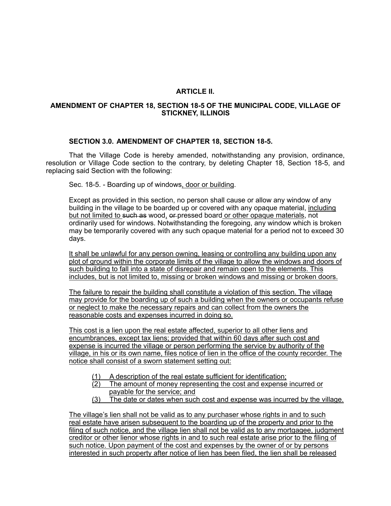# **ARTICLE II.**

## **AMENDMENT OF CHAPTER 18, SECTION 18-5 OF THE MUNICIPAL CODE, VILLAGE OF STICKNEY, ILLINOIS**

### **SECTION 3.0. AMENDMENT OF CHAPTER 18, SECTION 18-5.**

That the Village Code is hereby amended, notwithstanding any provision, ordinance, resolution or Village Code section to the contrary, by deleting Chapter 18, Section 18-5, and replacing said Section with the following:

Sec. 18-5. - Boarding up of windows, door or building.

Except as provided in this section, no person shall cause or allow any window of any building in the village to be boarded up or covered with any opaque material, including but not limited to such as wood, or pressed board or other opaque materials, not ordinarily used for windows. Notwithstanding the foregoing, any window which is broken may be temporarily covered with any such opaque material for a period not to exceed 30 days.

It shall be unlawful for any person owning, leasing or controlling any building upon any plot of ground within the corporate limits of the village to allow the windows and doors of such building to fall into a state of disrepair and remain open to the elements. This includes, but is not limited to, missing or broken windows and missing or broken doors.

The failure to repair the building shall constitute a violation of this section. The village may provide for the boarding up of such a building when the owners or occupants refuse or neglect to make the necessary repairs and can collect from the owners the reasonable costs and expenses incurred in doing so.

This cost is a lien upon the real estate affected, superior to all other liens and encumbrances, except tax liens; provided that within 60 days after such cost and expense is incurred the village or person performing the service by authority of the village, in his or its own name, files notice of lien in the office of the county recorder. The notice shall consist of a sworn statement setting out:

- (1) A description of the real estate sufficient for identification;
- (2) The amount of money representing the cost and expense incurred or payable for the service; and
- (3) The date or dates when such cost and expense was incurred by the village.

The village's lien shall not be valid as to any purchaser whose rights in and to such real estate have arisen subsequent to the boarding up of the property and prior to the filing of such notice, and the village lien shall not be valid as to any mortgagee, judgment creditor or other lienor whose rights in and to such real estate arise prior to the filing of such notice. Upon payment of the cost and expenses by the owner of or by persons interested in such property after notice of lien has been filed, the lien shall be released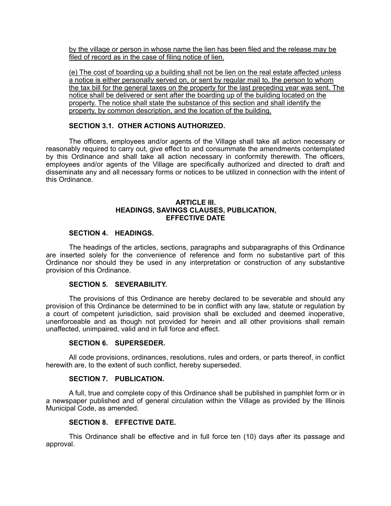by the village or person in whose name the lien has been filed and the release may be filed of record as in the case of filing notice of lien.

(e) The cost of boarding up a building shall not be lien on the real estate affected unless a notice is either personally served on, or sent by regular mail to, the person to whom the tax bill for the general taxes on the property for the last preceding year was sent. The notice shall be delivered or sent after the boarding up of the building located on the property. The notice shall state the substance of this section and shall identify the property, by common description, and the location of the building.

## **SECTION 3.1. OTHER ACTIONS AUTHORIZED.**

The officers, employees and/or agents of the Village shall take all action necessary or reasonably required to carry out, give effect to and consummate the amendments contemplated by this Ordinance and shall take all action necessary in conformity therewith. The officers, employees and/or agents of the Village are specifically authorized and directed to draft and disseminate any and all necessary forms or notices to be utilized in connection with the intent of this Ordinance.

### **ARTICLE III. HEADINGS, SAVINGS CLAUSES, PUBLICATION, EFFECTIVE DATE**

# **SECTION 4. HEADINGS.**

The headings of the articles, sections, paragraphs and subparagraphs of this Ordinance are inserted solely for the convenience of reference and form no substantive part of this Ordinance nor should they be used in any interpretation or construction of any substantive provision of this Ordinance.

# **SECTION 5. SEVERABILITY.**

The provisions of this Ordinance are hereby declared to be severable and should any provision of this Ordinance be determined to be in conflict with any law, statute or regulation by a court of competent jurisdiction, said provision shall be excluded and deemed inoperative, unenforceable and as though not provided for herein and all other provisions shall remain unaffected, unimpaired, valid and in full force and effect.

### **SECTION 6. SUPERSEDER.**

All code provisions, ordinances, resolutions, rules and orders, or parts thereof, in conflict herewith are, to the extent of such conflict, hereby superseded.

## **SECTION 7. PUBLICATION.**

A full, true and complete copy of this Ordinance shall be published in pamphlet form or in a newspaper published and of general circulation within the Village as provided by the Illinois Municipal Code, as amended.

### **SECTION 8. EFFECTIVE DATE.**

This Ordinance shall be effective and in full force ten (10) days after its passage and approval.